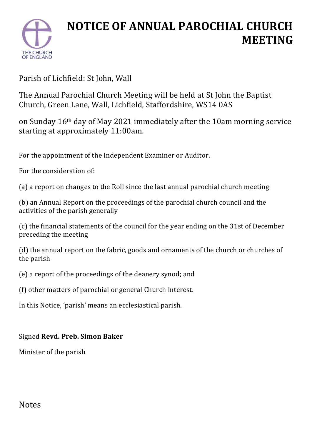

## **NOTICE OF ANNUAL PAROCHIAL CHURCH MEETING**

Parish of Lichfield: St John, Wall

The Annual Parochial Church Meeting will be held at St John the Baptist Church, Green Lane, Wall, Lichfield, Staffordshire, WS14 0AS

on Sunday 16th day of May 2021 immediately after the 10am morning service starting at approximately 11:00am.

For the appointment of the Independent Examiner or Auditor.

For the consideration of:

(a) a report on changes to the Roll since the last annual parochial church meeting

(b) an Annual Report on the proceedings of the parochial church council and the activities of the parish generally

(c) the financial statements of the council for the year ending on the 31st of December preceding the meeting

(d) the annual report on the fabric, goods and ornaments of the church or churches of the parish

(e) a report of the proceedings of the deanery synod; and

(f) other matters of parochial or general Church interest.

In this Notice, 'parish' means an ecclesiastical parish.

## Signed **Revd. Preb. Simon Baker**

Minister of the parish

## Notes